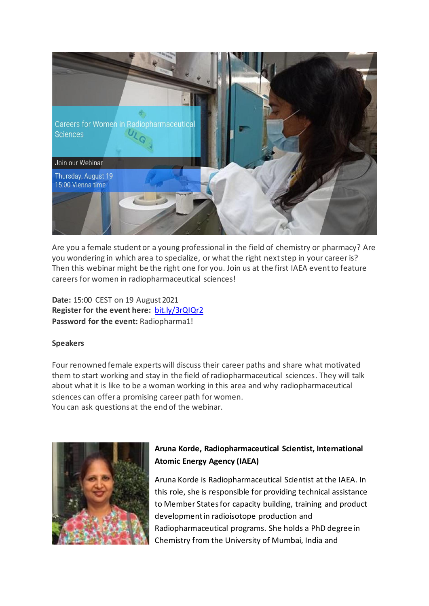

Are you a female student or a young professional in the field of chemistry or pharmacy? Are you wondering in which area to specialize, or what the right next step in your career is? Then this webinar might be the right one for you. Join us at the first IAEA event to feature careers for women in radiopharmaceutical sciences!

**Date:** 15:00 CEST on 19 August 2021 **Register for the event here[:](https://bit.ly/3tKATUZ)** [bit.ly/3rQIQr2](https://iaea.webex.com/mw3300/mywebex/default.do?nomenu=true&siteurl=iaea&service=6&rnd=0.12142983176327549&main_url=https://iaea.webex.com/ec3300/eventcenter/event/eventAction.do%3FtheAction%3Ddetail%26%26%26EMK%3D4832534b000000056da075405b18047031b4c0962bab1f634fb257568b36fd9082d6ae05f146a3ff%26siteurl%3Diaea%26confViewID%3D201524604975455345%26encryptTicket%3DSDJTSwAAAAXxL1gRSdfWUJLLhwj2e7CEi99cYWlXLxe8xDFwk2C8yg2%26) **Password for the event:** Radiopharma1!

## **Speakers**

Four renowned female experts will discuss their career paths and share what motivated them to start working and stay in the field of radiopharmaceutical sciences. They will talk about what it is like to be a woman working in this area and why radiopharmaceutical sciences can offer a promising career path for women. You can ask questions at the end of the webinar.



## **Aruna Korde, Radiopharmaceutical Scientist, International Atomic Energy Agency (IAEA)**

Aruna Korde is Radiopharmaceutical Scientist at the IAEA. In this role, she is responsible for providing technical assistance to Member States for capacity building, training and product development in radioisotope production and Radiopharmaceutical programs. She holds a PhD degree in Chemistry from the University of Mumbai, India and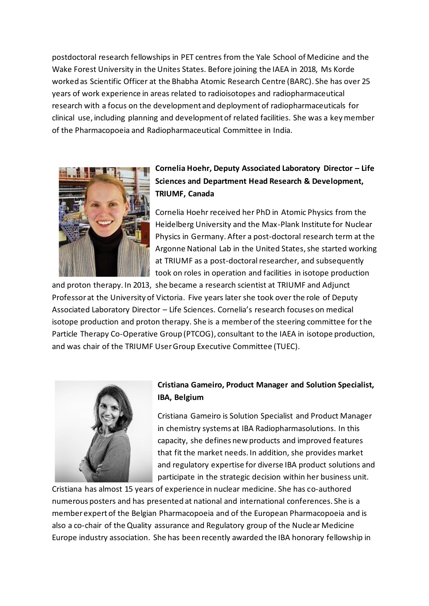postdoctoral research fellowships in PET centres from the Yale School of Medicine and the Wake Forest University in the Unites States. Before joining the IAEA in 2018, Ms Korde worked as Scientific Officer at the Bhabha Atomic Research Centre (BARC). She has over 25 years of work experience in areas related to radioisotopes and radiopharmaceutical research with a focus on the development and deployment of radiopharmaceuticals for clinical use, including planning and development of related facilities. She was a key member of the Pharmacopoeia and Radiopharmaceutical Committee in India.



## **Cornelia Hoehr, Deputy Associated Laboratory Director – Life Sciences and Department Head Research & Development, TRIUMF, Canada**

Cornelia Hoehr received her PhD in Atomic Physics from the Heidelberg University and the Max-Plank Institute for Nuclear Physics in Germany. After a post-doctoral research term at the Argonne National Lab in the United States, she started working at TRIUMF as a post-doctoral researcher, and subsequently took on roles in operation and facilities in isotope production

and proton therapy. In 2013, she became a research scientist at TRIUMF and Adjunct Professor at the University of Victoria. Five years later she took over the role of Deputy Associated Laboratory Director – Life Sciences. Cornelia's research focuses on medical isotope production and proton therapy. She is a member of the steering committee for the Particle Therapy Co-Operative Group (PTCOG), consultant to the IAEA in isotope production, and was chair of the TRIUMF User Group Executive Committee (TUEC).



## **Cristiana Gameiro, Product Manager and Solution Specialist, IBA, Belgium**

Cristiana Gameiro is Solution Specialist and Product Manager in chemistry systems at IBA Radiopharmasolutions. In this capacity, she defines new products and improved features that fit the market needs. In addition, she provides market and regulatory expertise for diverse IBA product solutions and participate in the strategic decision within her business unit.

Cristiana has almost 15 years of experience in nuclear medicine. She has co-authored numerous posters and has presented at national and international conferences. She is a member expert of the Belgian Pharmacopoeia and of the European Pharmacopoeia and is also a co-chair of the Quality assurance and Regulatory group of the Nuclear Medicine Europe industry association. She has been recently awarded the IBA honorary fellowship in